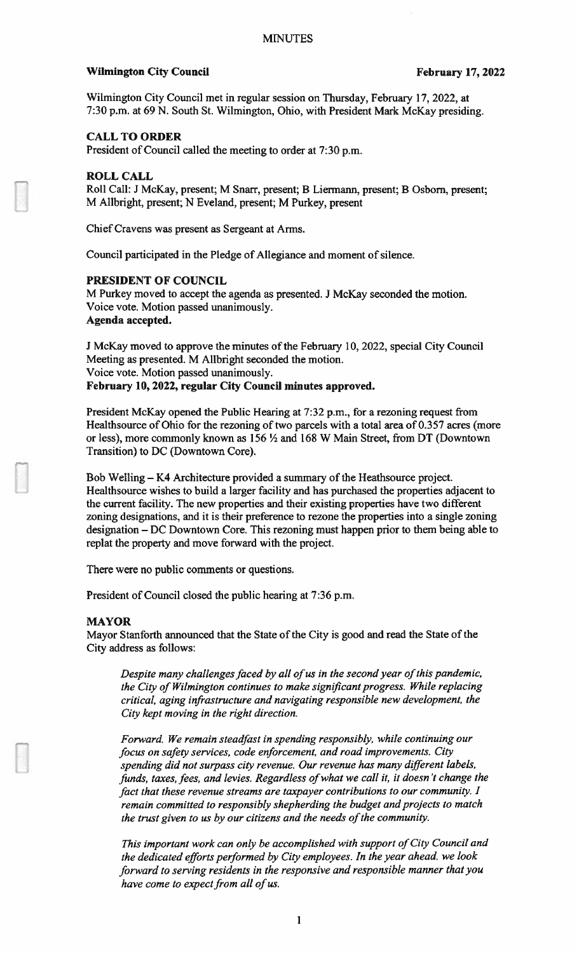#### Wilmington City Council **February 17, 2022**

Wilmington City Council met in regular session on Thursday, February 17, 2022, at 7:30 p.m. at 69 N. South St. Wilmington, Ohio, with President Mark McKay presiding.

## CALL TO ORDER

President of Council called the meeting to order at 7:30 p.m.

#### ROLL CALL

Roll Call: J McKay, present; M Snarr, present; B Liermann, present; B Osbom, present; M Allbright, present; N Eveland, present; M Purkey, present

Chief Cravens was present as Sergeant at Arms.

Council participated in the Pledge of Allegiance and moment of silence.

#### PRESIDENT OF COUNCIL

M Purkey moved to accept the agenda as presented. J McKay seconded the motion. Voice vote. Motion passed unanimously. Agenda accepted.

J McKay moved to approve the minutes of the February 10, 2022, special City Council Meeting as presented. M Allbright seconded the motion. Voice vote. Motion passed unanimously. February 10, 2022, regular City Council minutes approved.

President McKay opened the Public Hearing at 7:32 p.m., for a rezoning request from Healthsource of Ohio for the rezoning of two parcels with a total area of 0.357 acres (more or less), more commonly known as 156 ½ and 168 W Main Street, from DT (Downtown Transition) to DC (Downtown Core).

Bob Welling — K4 Architecture provided a summary of the Heathsource project. Healthsource wishes to build a larger facility and has purchased the properties adjacent to the current facility. The new properties and their existing properties have two different zoning designations, and it is their preference to rezone the properties into a single zoning designation — DC Downtown Core. This rezoning must happen prior to them being able to replat the property and move forward with the project.

There were no public comments or questions.

President of Council closed the public hearing at 7:36 p.m.

#### MAYOR

Mayor Stanforth announced that the State of the City is good and read the State of the City address as follows:

Despite many challenges faced by all of us in the second year of this pandemic, the City of Wilmington continues to make significant progress. While replacing critical, aging infrastructure and navigating responsible new development, the City kept moving in the right direction.

Forward. We remain steadfast in spending responsibly, while continuing our focus on safety services, code enforcement, and road improvements. City spending did not surpass city revenue. Our revenue has many djfferent labels, funds, taxes, fees, and levies. Regardless of what we call it, it doesn't change the fact that these revenue streams are taxpayer contributions to our community. I remain committed to responsibly shepherding the budget and projects to match the trust given to us by our citizens and the needs of the community.

This important work can only be accomplished with support of City Council and the dedicated efforts performed by City employees. In the year ahead. we look forward to serving residents in the responsive and responsible manner that you have come to expect from all of us.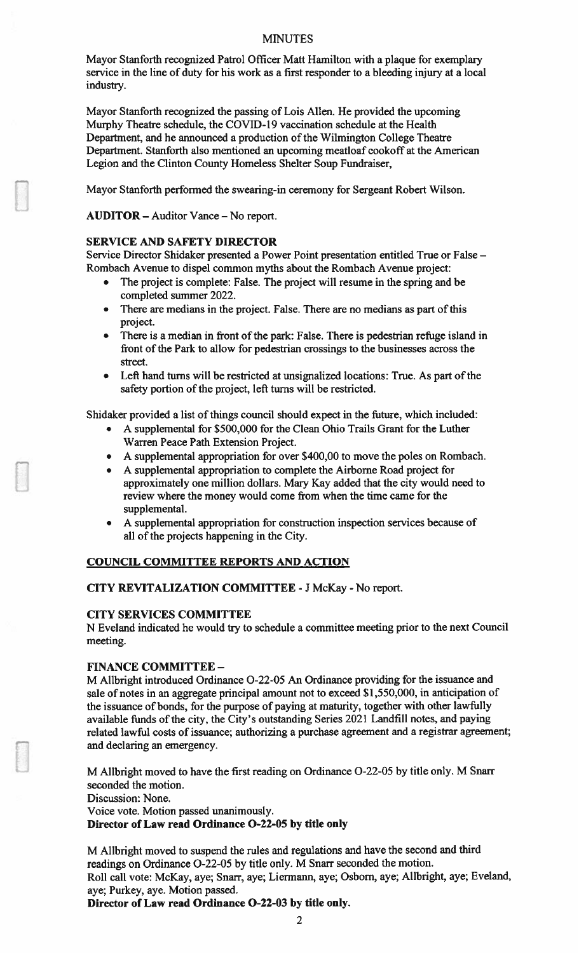Mayor Stanforth recognized Patrol Officer Matt Hamilton with a plaque for exemplary service in the line of duty for his work as a first responder to a bleeding injury at a local industry.

Mayor Stanforth recognized the passing of Lois Allen. He provided the upcoming Murphy Theatre schedule, the COVID-19 vaccination schedule at the Health Department, and he announced a production of the Wilmington College Theatre Department. Stanforth also mentioned an upcoming meatloaf cookoff at the American Legion and the Clinton County Homeless Shelter Soup Fundraiser,

Mayor Stanforth performed the swearing-in ceremony for Sergeant Robert Wilson.

AUDITOR — Auditor Vance — No report.

## SERVICE AND SAFETY DIRECTOR

Service Director Shidaker presented a Power Point presentation entitled True or False — Rombach Avenue to dispel common myths about the Rombach Avenue project:

- The project is complete: False. The project will resume in the spring and be completed summer 2022.
- There are medians in the project. False. There are no medians as part of this project.
- There is a median in front of the park: False. There is pedestrian refuge island in front of the Park to allow for pedestrian crossings to the businesses across the street.
- Left hand turns will be restricted at unsignalized locations: True. As part of the safety portion of the project, left turns will be restricted.

Shidaker provided a list of things council should expect in the future, which included:

- A supplemental for \$500,000 for the Clean Ohio Trails Grant for the Luther Warren Peace Path Extension Project.
- A supplemental appropriation for over \$400,00 to move the poles on Rombach.
- A supplemental appropriation to complete the Airborne Road project for approximately one million dollars. Mary Kay added that the city would need to review where the money would come from when the time came for the supplemental.
- A supplemental appropriation for construction inspection services because of all of the projects happening in the City.

# COUNCIL COMMITTEE REPORTS AND ACTION

## CITY REVITALIZATION COMMITTEE -J McKay -No report.

## CITY SERVICES COMMITTEE

N Eveland indicated he would try to schedule a committee meeting prior to the next Council meeting.

## FINANCE COMMITTEE -

M Allbright introduced Ordinance 0-22-05 An Ordinance providing for the issuance and sale of notes in an aggregate principal amount not to exceed \$1,550,000, in anticipation of the issuance of bonds, for the purpose of paying at maturity, together with other lawfully available funds of the city, the City's outstanding Series 2021 Landfill notes, and paying related lawful costs of issuance; authorizing a purchase agreement and a registrar agreement; and declaring an emergency.

M Allbright moved to have the first reading on Ordinance 0-22-05 by title only. M Snarr seconded the motion.

Discussion: None.

Voice vote. Motion passed unanimously.

# Director of Law read Ordinance 0-22-05 by title only

M Allbright moved to suspend the rules and regulations and have the second and third readings on Ordinance 0-22-05 by title only. M Snarr seconded the motion. Roll call vote: McKay, aye; Snarr, aye; Liermann, aye; Osborn, aye; Allbright, aye; Eveland, aye; Purkey, aye. Motion passed.

Director of Law read Ordinance 0-22-03 by title only.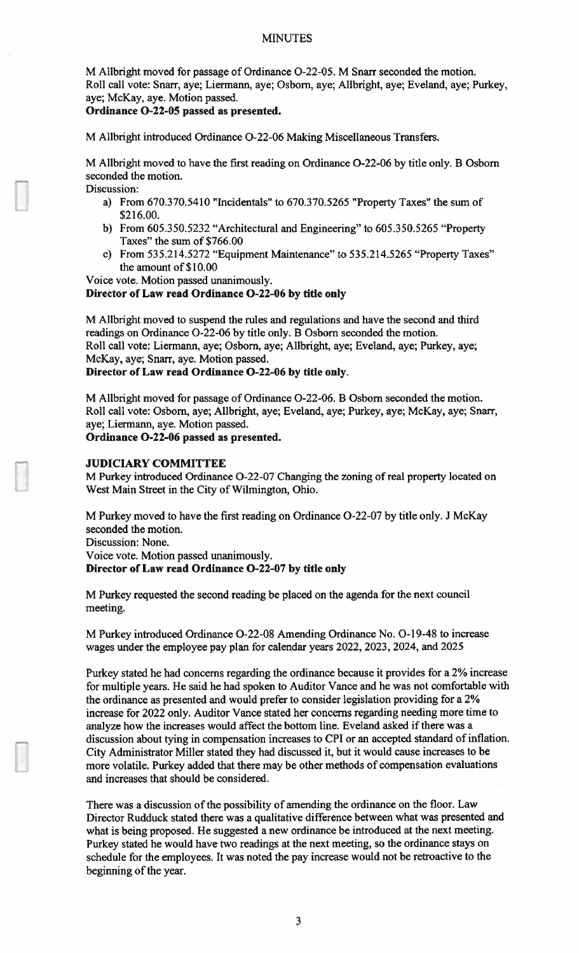M Alibright moved for passage of Ordinance 0-22-05. M Snarr seconded the motion. Roll call vote: Snarr, aye; Liermann, aye; Osborn, aye; Allbright, aye; Eveland, aye; Purkey, aye; McKay, aye. Motion passed.

#### Ordinance 0-22-05 passed as presented.

M Allbright introduced Ordinance 0-22-06 Making Miscellaneous Transfers.

M Allbright moved to have the first reading on Ordinance 0-22-06 by title only. B Osborn seconded the motion.

- Discussion:
	- a) From 670.370.5410 "Incidentals" to 670.370.5265 "Property Taxes" the sum of \$216.00.
	- b) From 605.350.5232 "Architectural and Engineering" to 605.350.5265 "Property Taxes" the sum of \$766.00
	- c) From 535.214.5272 "Equipment Maintenance" to 535.214.5265 "Property Taxes" the amount of \$10.00

Voice vote. Motion passed unanimously.

## Director of Law read Ordinance 0-22-06 by title only

M Allbright moved to suspend the rules and regulations and have the second and third readings on Ordinance 0-22-06 by title only. B Osborn seconded the motion. Roll call vote: Liermann, aye; Osborn, aye; Allbright, aye; Eveland, aye; Purkey, aye; McKay, aye; Snarr, aye. Motion passed.

Director of Law read Ordinance 0-22-06 by title only.

M Allbright moved for passage of Ordinance 0-22-06. B Osborn seconded the motion. Roll call vote: Osborn, aye; Allbright, aye; Eveland, aye; Purkey, aye; McKay, aye; Snarr, aye; Liermann, aye. Motion passed.

Ordinance 0-22-06 passed as presented.

## JUDICIARY COMMITTEE

M Purkey introduced Ordinance 0-22-07 Changing the zoning ofreal property located on West Main Street in the City of Wilmington, Ohio.

M Purkey moved to have the first reading on Ordinance 0-22-07 by title only. J McKay seconded the motion. Discussion: None.

Voice vote. Motion passed unanimously.

## Director of Law read Ordinance 0-22-07 by title only

M Purkey requested the second reading be placed on the agenda for the next council meeting.

M Purkey introduced Ordinance 0-22-08 Amending Ordinance No. 0-19-48 to increase wages under the employee pay plan for calendar years 2022, 2023, 2024, and 2025

Purkey stated he had concerns regarding the ordinance because it provides for a 2% increase for multiple years. He said he had spoken to Auditor Vance and he was not comfortable with the ordinance as presented and would prefer to consider legislation providing for a 2% increase for 2022 only. Auditor Vance stated her concerns regarding needing more time to analyze how the increases would affect the bottom line. Eveland asked if there was a discussion about tying in compensation increases to CPI or an accepted standard of inflation. City Administrator Miller stated they had discussed it, but it would cause increases to be more volatile. Purkey added that there may be other methods of compensation evaluations and increases that should be considered.

There was a discussion of the possibility of amending the ordinance on the floor. Law Director Rudduck stated there was a qualitative difference between what was presented and what is being proposed. He suggested a new ordinance be introduced at the next meeting. Purkey stated he would have two readings at the next meeting, so the ordinance stays on schedule for the employees. It was noted the pay increase would not be retroactive to the beginning of the year.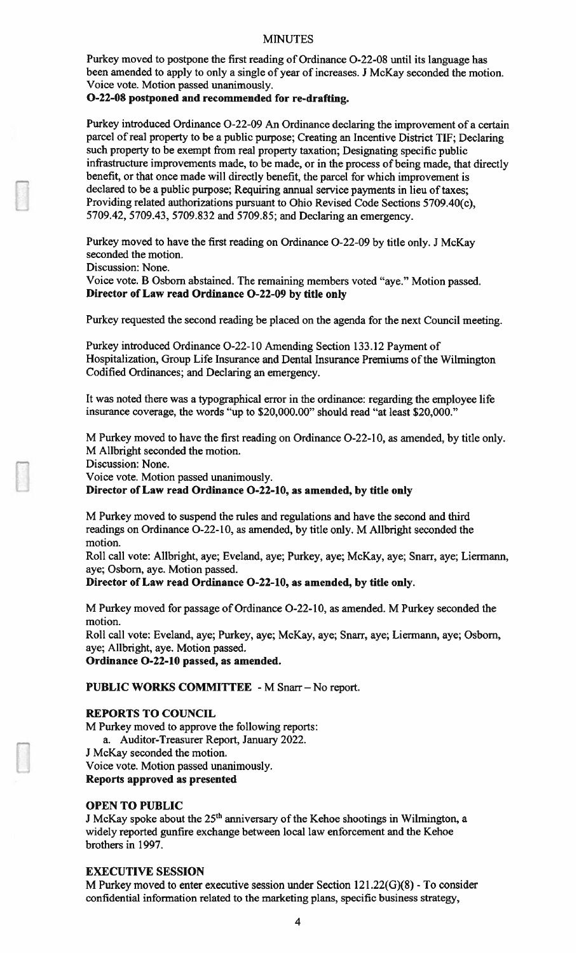Purkey moved to postpone the first reading of Ordinance 0-22-08 until its language has been amended to apply to only a single of year of increases. <sup>J</sup> McKay seconded the motion. Voice vote. Motion passed unanimously.

## 0-22-08 postponed and recommended for re-drafting.

Purkey introduced Ordinance 0-22-09 An Ordinance declaring the improvement of a certain parcel of real property to be a public purpose; Creating an Incentive District TIF; Declaring such property to be exempt from real property taxation; Designating specific public infrastructure improvements made, to be made, or in the process of being made, that directly benefit, or that once made will directly benefit, the parcel for which improvement is declared to be a public purpose; Requiring annual service payments in lieu of taxes; Providing related authorizations pursuant to Ohio Revised Code Sections 5709.40(c), 5709.42, 5709.43, 5709.832 and 5709.85; and Declaring an emergency.

Purkey moved to have the first reading on Ordinance 0-22-09 by title only. J McKay seconded the motion.

Discussion: None.

Voice vote. B Osbom abstained. The remaining members voted "aye." Motion passed. Director of Law read Ordinance 0-22-09 by title only

Purkey requested the second reading be placed on the agenda for the next Council meeting.

Purkey introduced Ordinance 0-22-10 Amending Section 133.12 Payment of Hospitalization, Group Life Insurance and Dental Insurance Premiums of the Wilmington Codified Ordinances; and Declaring an emergency.

It was noted there was a typographical error in the ordinance: regarding the employee life insurance coverage, the words "up to \$20,000.00" should read "at least \$20,000."

M Purkey moved to have the first reading on Ordinance 0-22-10, as amended, by title only. M Allbright seconded the motion.

Discussion: None.

Voice vote. Motion passed unanimously.

Director of Law read Ordinance 0-22-10, as amended, by title only

M Purkey moved to suspend the rules and regulations and have the second and third readings on Ordinance 0-22-10, as amended, by title only. M Allbright seconded the motion.

Roll call vote: Allbright, aye; Eveland, aye; Purkey, aye; McKay, aye; Snarr, aye; Liermann, aye; Osborn, aye. Motion passed.

Director of Law read Ordinance 0-22-10, as amended, by title only.

M Purkey moved for passage of Ordinance 0-22-10, as amended. M Purkey seconded the motion.

Roll call vote: Eveland. aye; Purkey, aye; McKay, aye; Snarr, aye; Liermann, aye; Osborn, aye; Allbright, aye. Motion passed.

Ordinance 0-22-10 passed, as amended.

# PUBLIC WORKS COMMITTEE - M Snarr - No report.

#### REPORTS TO COUNCIL

M Purkey moved to approve the following reports:

a. Auditor-Treasurer Report, January 2022.

J McKay seconded the motion.

Voice vote. Motion passed unanimously.

Reports approved as presented

## OPEN TO PUBLIC

J McKay spoke about the  $25<sup>th</sup>$  anniversary of the Kehoe shootings in Wilmington, a widely reported gunfire exchange between local law enforcement and the Kehoe brothers in 1997.

### **EXECUTIVE SESSION**

M Purkey moved to enter executive session under Section  $121.22(G)(8)$  - To consider confidential information related to the marketing plans, specific business strategy,